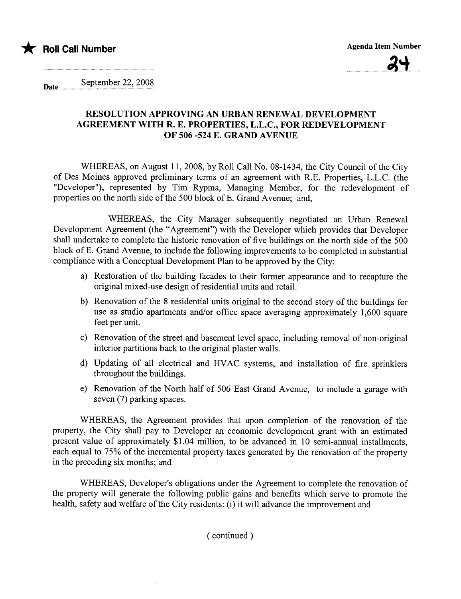



Date.... September 22, 2008

## RESOLUTION APPROVING AN URBAN RENEWAL DEVELOPMENT AGREEMENT WITH R. E. PROPERTIES, L.L.c., FOR REDEVELOPMENT OF 506 -524 E. GRAND AVENUE

WHEREAS, on August 11,2008, by Roll Call No. 08-1434, the City Council of the City of Des Moines approved preliminary terms of an agreement with R.E. Properties, L.L.C. (the "Developer"), represented by Tim Rypma, Managing Member, for the redevelopment of properties on the north side of the 500 block of E. Grand Avenue; and,

WHEREAS, the City Manager subsequently negotiated an Urban Renewal Development Agreement (the "Agreement") with the Developer which provides that Developer shall undertake to complete the historic renovation of five buildings on the north side of the 500 block of E. Grand Avenue, to include the following improvements to be completed in substantial compliance with a Conceptual Development Plan to be approved by the City:

- a) Restoration of the building facades to their former appearance and to recapture the original mixed-use design of residential units and retaiL.
- b) Renovation of the 8 residential units original to the second story of the buildings for use as studio apartments and/or office space averaging approximately 1,600 square feet per unit.
- c) Renovation of the street and basement level space, including removal of non-original interior paritions back to the original plaster walls.
- d) Updating of all electrical and HVAC systems, and installation of fire sprinklers throughout the buildings.
- e) Renovation of the North half of 506 East Grand Avenue, to include a garage with seven (7) parking spaces.

WHEREAS, the Agreement provides that upon completion of the renovation of the property, the City shall pay to Developer an economic development grant with an estimated present value of approximately \$1.04 million, to be advanced in 10 semi-anual installments, each equal to 75% of the incremental property taxes generated by the renovation of the property in the preceding six months; and

WHEREAS, Developer's obligations under the Agreement to complete the renovation of the property will generate the following public gains and benefits which serve to promote the health, safety and welfare of the City residents: (i) it will advance the improvement and

( continued)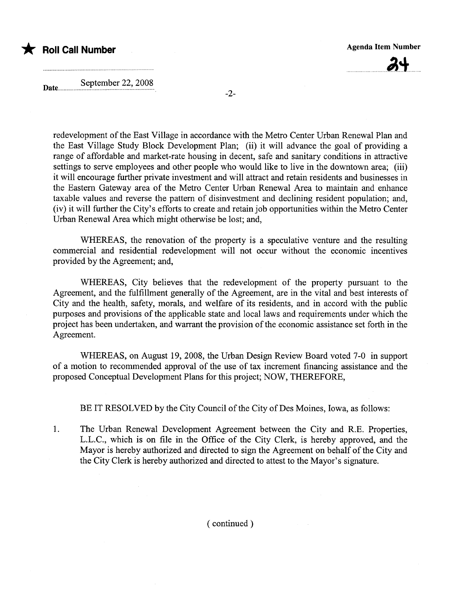



Date............. September 22, 2008

-2-

redevelopment of the East Village in accordance with the Metro Center Urban Renewal Plan and the East Village Study Block Development Plan; (ii) it will advance the goal of providing a range of affordable and market-rate housing in decent, safe and sanitary conditions in attractive settings to serve employees and other people who would like to live in the downtown area: (iii) it will encourage further private investment and will attract and retain residents and businesses in the Eastern Gateway area of the Metro Center Urban Renewal Area to maintain and enhance taxable values and reverse the pattern of disinvestment and declining resident population; and, (iv) it will further the City's efforts to create and retain job opportunities within the Metro Center Urban Renewal Area which might otherwise be lost; and,

WHEREAS, the renovation of the property is a speculative venture and the resulting commercial and residential redevelopment will not occur without the economic incentives provided by the Agreement; and,

WHEREAS, City believes that the redevelopment of the property pursuant to the Agreement, and the fulfillment generally of the Agreement, are in the vital and best interests of City and the health, safety, morals, and welfare of its residents, and in accord with the public purposes and provisions of the applicable state and local laws and requirements under which the project has been undertaken, and warrant the provision of the economic assistance set forth in the Agreement.

WHEREAS, on August 19,2008, the Urban Design Review Board voted 7-0 in support of a motion to recommended approval of the use of tax increment financing assistance and the proposed Conceptual Development Plans for this project; NOW, THEREFORE,

BE IT RESOLVED by the City Council of the City of Des Moines, Iowa, as follows:

1. The Urban Renewal Development Agreement between the City and R.E. Properties, L.L.C., which is on fie in the Office of the City Clerk, is hereby approved, and the Mayor is hereby authorized and directed to sign the Agreement on behalf of the City and the City Clerk is hereby authorized and directed to attest to the Mayor's signature.